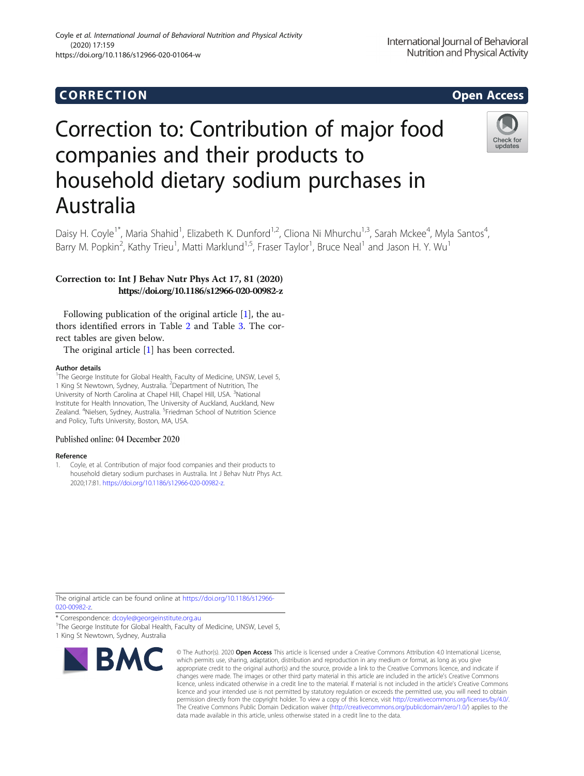# Correction to: Contribution of major food companies and their products to household dietary sodium purchases in Australia

Daisy H. Coyle<sup>1\*</sup>, Maria Shahid<sup>1</sup>, Elizabeth K. Dunford<sup>1,2</sup>, Cliona Ni Mhurchu<sup>1,3</sup>, Sarah Mckee<sup>4</sup>, Myla Santos<sup>4</sup> , Barry M. Popkin<sup>2</sup>, Kathy Trieu<sup>1</sup>, Matti Marklund<sup>1,5</sup>, Fraser Taylor<sup>1</sup>, Bruce Neal<sup>1</sup> and Jason H. Y. Wu<sup>1</sup>

## Correction to: Int J Behav Nutr Phys Act 17, 81 (2020) https://doi.org/10.1186/s12966-020-00982-z

Following publication of the original article [1], the authors identified errors in Table [2](#page-1-0) and Table [3](#page-1-0). The correct tables are given below.

The original article [1] has been corrected.

#### Author details

<sup>1</sup>The George Institute for Global Health, Faculty of Medicine, UNSW, Level 5, 1 King St Newtown, Sydney, Australia. <sup>2</sup>Department of Nutrition, The University of North Carolina at Chapel Hill, Chapel Hill, USA. <sup>3</sup>National Institute for Health Innovation, The University of Auckland, Auckland, New Zealand. <sup>4</sup>Nielsen, Sydney, Australia. <sup>5</sup>Friedman School of Nutrition Science and Policy, Tufts University, Boston, MA, USA.

### Published online: 04 December 2020

#### Reference

1. Coyle, et al. Contribution of major food companies and their products to household dietary sodium purchases in Australia. Int J Behav Nutr Phys Act. 2020;17:81. [https://doi.org/10.1186/s12966-020-00982-z.](https://doi.org/10.1186/s12966-020-00982-z)

The original article can be found online at [https://doi.org/10.1186/s12966-](https://doi.org/10.1186/s12966-020-00982-z) [020-00982-z.](https://doi.org/10.1186/s12966-020-00982-z)

\* Correspondence: [dcoyle@georgeinstitute.org.au](mailto:dcoyle@georgeinstitute.org.au) <sup>1</sup>

R.

<sup>1</sup>The George Institute for Global Health, Faculty of Medicine, UNSW, Level 5, 1 King St Newtown, Sydney, Australia

which permits use, sharing, adaptation, distribution and reproduction in any medium or format, as long as you give appropriate credit to the original author(s) and the source, provide a link to the Creative Commons licence, and indicate if changes were made. The images or other third party material in this article are included in the article's Creative Commons licence, unless indicated otherwise in a credit line to the material. If material is not included in the article's Creative Commons licence and your intended use is not permitted by statutory regulation or exceeds the permitted use, you will need to obtain permission directly from the copyright holder. To view a copy of this licence, visit [http://creativecommons.org/licenses/by/4.0/.](http://creativecommons.org/licenses/by/4.0/) The Creative Commons Public Domain Dedication waiver [\(http://creativecommons.org/publicdomain/zero/1.0/](http://creativecommons.org/publicdomain/zero/1.0/)) applies to the data made available in this article, unless otherwise stated in a credit line to the data.

© The Author(s), 2020 **Open Access** This article is licensed under a Creative Commons Attribution 4.0 International License,

Check for updates